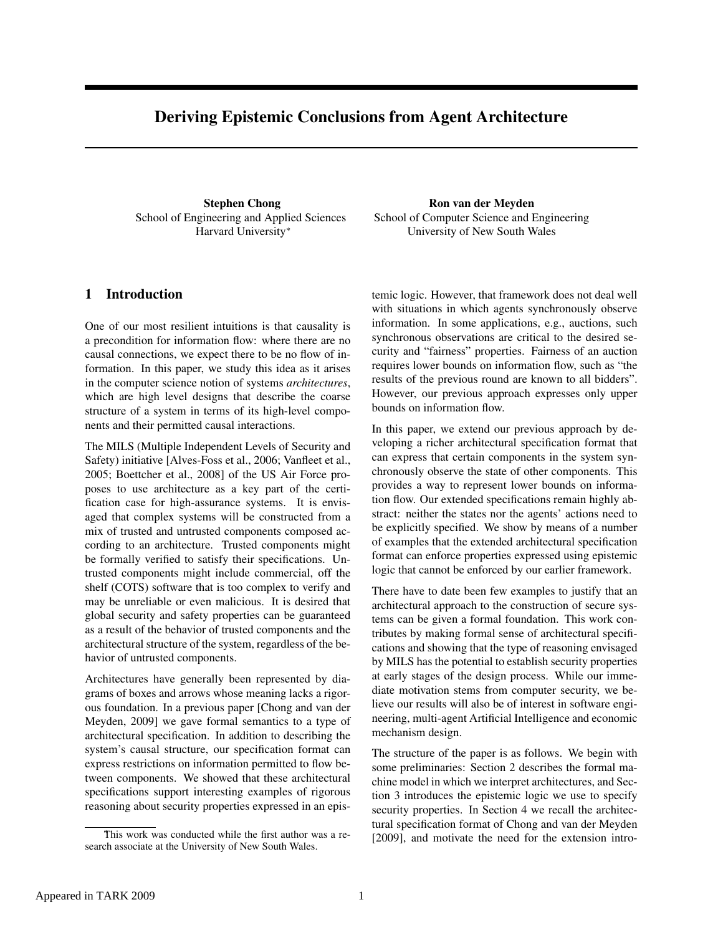# Deriving Epistemic Conclusions from Agent Architecture

Stephen Chong School of Engineering and Applied Sciences Harvard University<sup>∗</sup>

Ron van der Meyden School of Computer Science and Engineering University of New South Wales

# 1 Introduction

One of our most resilient intuitions is that causality is a precondition for information flow: where there are no causal connections, we expect there to be no flow of information. In this paper, we study this idea as it arises in the computer science notion of systems *architectures*, which are high level designs that describe the coarse structure of a system in terms of its high-level components and their permitted causal interactions.

The MILS (Multiple Independent Levels of Security and Safety) initiative [Alves-Foss et al., 2006; Vanfleet et al., 2005; Boettcher et al., 2008] of the US Air Force proposes to use architecture as a key part of the certification case for high-assurance systems. It is envisaged that complex systems will be constructed from a mix of trusted and untrusted components composed according to an architecture. Trusted components might be formally verified to satisfy their specifications. Untrusted components might include commercial, off the shelf (COTS) software that is too complex to verify and may be unreliable or even malicious. It is desired that global security and safety properties can be guaranteed as a result of the behavior of trusted components and the architectural structure of the system, regardless of the behavior of untrusted components.

Architectures have generally been represented by diagrams of boxes and arrows whose meaning lacks a rigorous foundation. In a previous paper [Chong and van der Meyden, 2009] we gave formal semantics to a type of architectural specification. In addition to describing the system's causal structure, our specification format can express restrictions on information permitted to flow between components. We showed that these architectural specifications support interesting examples of rigorous reasoning about security properties expressed in an epistemic logic. However, that framework does not deal well with situations in which agents synchronously observe information. In some applications, e.g., auctions, such synchronous observations are critical to the desired security and "fairness" properties. Fairness of an auction requires lower bounds on information flow, such as "the results of the previous round are known to all bidders". However, our previous approach expresses only upper bounds on information flow.

In this paper, we extend our previous approach by developing a richer architectural specification format that can express that certain components in the system synchronously observe the state of other components. This provides a way to represent lower bounds on information flow. Our extended specifications remain highly abstract: neither the states nor the agents' actions need to be explicitly specified. We show by means of a number of examples that the extended architectural specification format can enforce properties expressed using epistemic logic that cannot be enforced by our earlier framework.

There have to date been few examples to justify that an architectural approach to the construction of secure systems can be given a formal foundation. This work contributes by making formal sense of architectural specifications and showing that the type of reasoning envisaged by MILS has the potential to establish security properties at early stages of the design process. While our immediate motivation stems from computer security, we believe our results will also be of interest in software engineering, multi-agent Artificial Intelligence and economic mechanism design.

The structure of the paper is as follows. We begin with some preliminaries: Section 2 describes the formal machine model in which we interpret architectures, and Section 3 introduces the epistemic logic we use to specify security properties. In Section 4 we recall the architectural specification format of Chong and van der Meyden [2009], and motivate the need for the extension intro-

This work was conducted while the first author was a research associate at the University of New South Wales.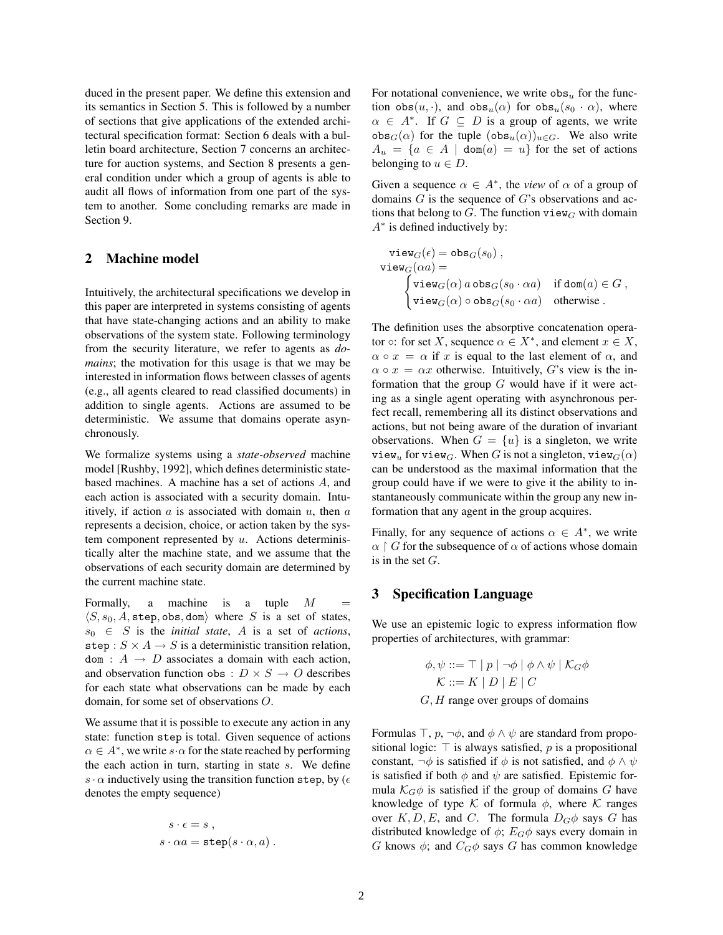duced in the present paper. We define this extension and its semantics in Section 5. This is followed by a number of sections that give applications of the extended architectural specification format: Section 6 deals with a bulletin board architecture, Section 7 concerns an architecture for auction systems, and Section 8 presents a general condition under which a group of agents is able to audit all flows of information from one part of the system to another. Some concluding remarks are made in Section 9.

## 2 Machine model

Intuitively, the architectural specifications we develop in this paper are interpreted in systems consisting of agents that have state-changing actions and an ability to make observations of the system state. Following terminology from the security literature, we refer to agents as *domains*; the motivation for this usage is that we may be interested in information flows between classes of agents (e.g., all agents cleared to read classified documents) in addition to single agents. Actions are assumed to be deterministic. We assume that domains operate asynchronously.

We formalize systems using a *state-observed* machine model [Rushby, 1992], which defines deterministic statebased machines. A machine has a set of actions A, and each action is associated with a security domain. Intuitively, if action  $a$  is associated with domain  $u$ , then  $a$ represents a decision, choice, or action taken by the system component represented by  $u$ . Actions deterministically alter the machine state, and we assume that the observations of each security domain are determined by the current machine state.

Formally, a machine is a tuple  $M =$  $\langle S, s_0, A, \text{step}, \text{obs}, \text{dom} \rangle$  where S is a set of states,  $s_0 \in S$  is the *initial state*, A is a set of *actions*, step :  $S \times A \rightarrow S$  is a deterministic transition relation,  $dom: A \rightarrow D$  associates a domain with each action, and observation function obs :  $D \times S \rightarrow O$  describes for each state what observations can be made by each domain, for some set of observations O.

We assume that it is possible to execute any action in any state: function step is total. Given sequence of actions  $\alpha \in A^*$ , we write  $s \cdot \alpha$  for the state reached by performing the each action in turn, starting in state  $s$ . We define s  $\cdot \alpha$  inductively using the transition function step, by ( $\epsilon$ denotes the empty sequence)

$$
s \cdot \epsilon = s ,
$$
  

$$
s \cdot \alpha a = \mathtt{step}(s \cdot \alpha, a) .
$$

For notational convenience, we write  $\cos_u$  for the function  $obs(u, \cdot)$ , and  $obs_u(\alpha)$  for  $obs_u(s_0 \cdot \alpha)$ , where  $\alpha \in A^*$ . If  $G \subseteq D$  is a group of agents, we write  $obs_G(\alpha)$  for the tuple  $(obs_u(\alpha))_{u \in G}$ . We also write  $A_u = \{a \in A \mid \text{dom}(a) = u\}$  for the set of actions belonging to  $u \in D$ .

Given a sequence  $\alpha \in A^*$ , the *view* of  $\alpha$  of a group of domains  $G$  is the sequence of  $G$ 's observations and actions that belong to  $G$ . The function view<sub>G</sub> with domain A<sup>∗</sup> is defined inductively by:

$$
\begin{array}{ll}\mathsf{view}_G(\epsilon) = \mathsf{obs}_G(s_0)\;,\\ \mathsf{view}_G(\alpha a) = \\ \begin{cases}\mathsf{view}_G(\alpha)\,a\,\mathsf{obs}_G(s_0\cdot \alpha a) & \text{if }\mathsf{dom}(a)\in G\;,\\ \mathsf{view}_G(\alpha)\circ \mathsf{obs}_G(s_0\cdot \alpha a) & \text{otherwise}\;. \end{cases}\end{array}
$$

The definition uses the absorptive concatenation operator  $\circ$ : for set X, sequence  $\alpha \in X^*$ , and element  $x \in X$ ,  $\alpha \circ x = \alpha$  if x is equal to the last element of  $\alpha$ , and  $\alpha \circ x = \alpha x$  otherwise. Intuitively, G's view is the information that the group  $G$  would have if it were acting as a single agent operating with asynchronous perfect recall, remembering all its distinct observations and actions, but not being aware of the duration of invariant observations. When  $G = \{u\}$  is a singleton, we write view<sub>u</sub> for view<sub>G</sub>. When G is not a singleton, view<sub>G</sub>( $\alpha$ ) can be understood as the maximal information that the group could have if we were to give it the ability to instantaneously communicate within the group any new information that any agent in the group acquires.

Finally, for any sequence of actions  $\alpha \in A^*$ , we write  $\alpha \upharpoonright G$  for the subsequence of  $\alpha$  of actions whose domain is in the set  $G$ .

#### 3 Specification Language

We use an epistemic logic to express information flow properties of architectures, with grammar:

$$
\phi, \psi ::= \top | p | \neg \phi | \phi \land \psi | \mathcal{K}_G \phi
$$
  

$$
\mathcal{K} ::= K | D | E | C
$$
  

$$
G, H \text{ range over groups of domains}
$$

Formulas  $\top$ ,  $p$ ,  $\neg \phi$ , and  $\phi \land \psi$  are standard from propositional logic:  $\top$  is always satisfied, p is a propositional constant,  $\neg \phi$  is satisfied if  $\phi$  is not satisfied, and  $\phi \land \psi$ is satisfied if both  $\phi$  and  $\psi$  are satisfied. Epistemic formula  $\mathcal{K}_G\phi$  is satisfied if the group of domains G have knowledge of type  $K$  of formula  $\phi$ , where  $K$  ranges over  $K, D, E$ , and C. The formula  $D_G \phi$  says G has distributed knowledge of  $\phi$ ;  $E_G \phi$  says every domain in G knows  $\phi$ ; and  $C_G\phi$  says G has common knowledge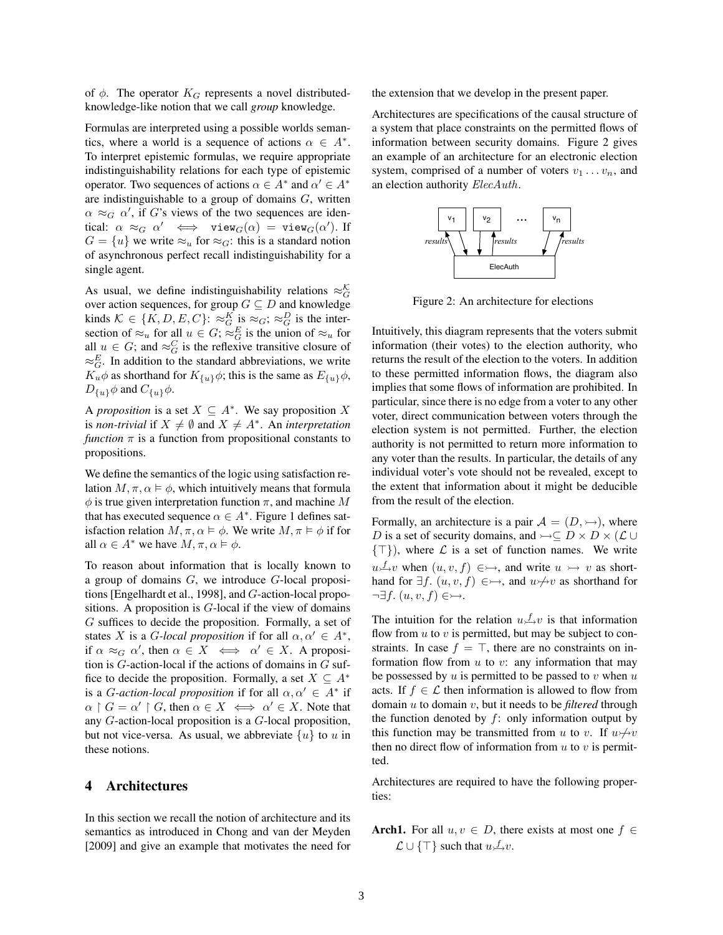of  $\phi$ . The operator  $K_G$  represents a novel distributedknowledge-like notion that we call *group* knowledge.

Formulas are interpreted using a possible worlds semantics, where a world is a sequence of actions  $\alpha \in A^*$ . To interpret epistemic formulas, we require appropriate indistinguishability relations for each type of epistemic operator. Two sequences of actions  $\alpha \in A^*$  and  $\alpha' \in A^*$ are indistinguishable to a group of domains  $G$ , written  $\alpha \approx_G \alpha'$ , if G's views of the two sequences are identical:  $\alpha \approx_G \alpha' \iff \text{view}_G(\alpha) = \text{view}_G(\alpha')$ . If  $G = \{u\}$  we write  $\approx_u$  for  $\approx_G$ : this is a standard notion of asynchronous perfect recall indistinguishability for a single agent.

As usual, we define indistinguishability relations  $\approx_G^{\mathcal{K}}$ over action sequences, for group  $G \subseteq D$  and knowledge kinds  $\mathcal{K} \in \{K, D, E, C\}$ :  $\approx_G^K$  is  $\approx_G$ ;  $\approx_G^D$  is the intersection of  $\approx_u$  for all  $u \in G$ ;  $\approx_G^E$  is the union of  $\approx_u$  for all  $u \in G$ ; and  $\approx_G^C$  is the reflexive transitive closure of  $\approx_G^E$ . In addition to the standard abbreviations, we write  $K_u \phi$  as shorthand for  $K_{\{u\}} \phi$ ; this is the same as  $E_{\{u\}} \phi$ ,  $D_{\{u\}}\phi$  and  $C_{\{u\}}\phi$ .

A *proposition* is a set  $X \subseteq A^*$ . We say proposition X is *non-trivial* if  $X \neq \emptyset$  and  $X \neq A^*$ . An *interpretation function*  $\pi$  is a function from propositional constants to propositions.

We define the semantics of the logic using satisfaction relation  $M, \pi, \alpha \models \phi$ , which intuitively means that formula  $\phi$  is true given interpretation function  $\pi$ , and machine M that has executed sequence  $\alpha \in A^*$ . Figure 1 defines satisfaction relation  $M, \pi, \alpha \models \phi$ . We write  $M, \pi \models \phi$  if for all  $\alpha \in A^*$  we have  $M, \pi, \alpha \models \phi$ .

To reason about information that is locally known to a group of domains  $G$ , we introduce  $G$ -local propositions [Engelhardt et al., 1998], and G-action-local propositions. A proposition is  $G$ -local if the view of domains G suffices to decide the proposition. Formally, a set of states X is a G-local proposition if for all  $\alpha, \alpha' \in A^*$ , if  $\alpha \approx_G \alpha'$ , then  $\alpha \in X \iff \alpha' \in X$ . A proposition is  $G$ -action-local if the actions of domains in  $G$  suffice to decide the proposition. Formally, a set  $X \subseteq A^*$ is a *G*-action-local proposition if for all  $\alpha, \alpha' \in A^*$  if  $\alpha \restriction G = \alpha' \restriction G$ , then  $\alpha \in X \iff \alpha' \in X$ . Note that any G-action-local proposition is a G-local proposition, but not vice-versa. As usual, we abbreviate  $\{u\}$  to u in these notions.

#### 4 Architectures

In this section we recall the notion of architecture and its semantics as introduced in Chong and van der Meyden [2009] and give an example that motivates the need for the extension that we develop in the present paper.

Architectures are specifications of the causal structure of a system that place constraints on the permitted flows of information between security domains. Figure 2 gives an example of an architecture for an electronic election system, comprised of a number of voters  $v_1 \ldots v_n$ , and an election authority ElecAuth.



Figure 2: An architecture for elections

Intuitively, this diagram represents that the voters submit information (their votes) to the election authority, who returns the result of the election to the voters. In addition to these permitted information flows, the diagram also implies that some flows of information are prohibited. In particular, since there is no edge from a voter to any other voter, direct communication between voters through the election system is not permitted. Further, the election authority is not permitted to return more information to any voter than the results. In particular, the details of any individual voter's vote should not be revealed, except to the extent that information about it might be deducible from the result of the election.

Formally, an architecture is a pair  $A = (D, \rightarrow)$ , where D is a set of security domains, and  $\rightarrow \subseteq D \times D \times (L \cup$  $\{\top\}$ ), where  $\mathcal L$  is a set of function names. We write  $u \rightarrow v$  when  $(u, v, f) \in \rightarrow$ , and write  $u \rightarrow v$  as shorthand for  $\exists f$ .  $(u, v, f) \in \rightarrow$ , and  $u \nrightarrow v$  as shorthand for  $\neg \exists f. (u, v, f) \in \rightarrowtail$ .

The intuition for the relation  $u \rightarrow v$  is that information flow from  $u$  to  $v$  is permitted, but may be subject to constraints. In case  $f = \top$ , there are no constraints on information flow from  $u$  to  $v$ : any information that may be possessed by  $u$  is permitted to be passed to  $v$  when  $u$ acts. If  $f \in \mathcal{L}$  then information is allowed to flow from domain u to domain v, but it needs to be *filtered* through the function denoted by  $f$ : only information output by this function may be transmitted from u to v. If  $u \nrightarrow v$ then no direct flow of information from  $u$  to  $v$  is permitted.

Architectures are required to have the following properties:

Arch1. For all  $u, v \in D$ , there exists at most one  $f \in$  $\mathcal{L} \cup \{\top\}$  such that  $u \nrightarrow v$ .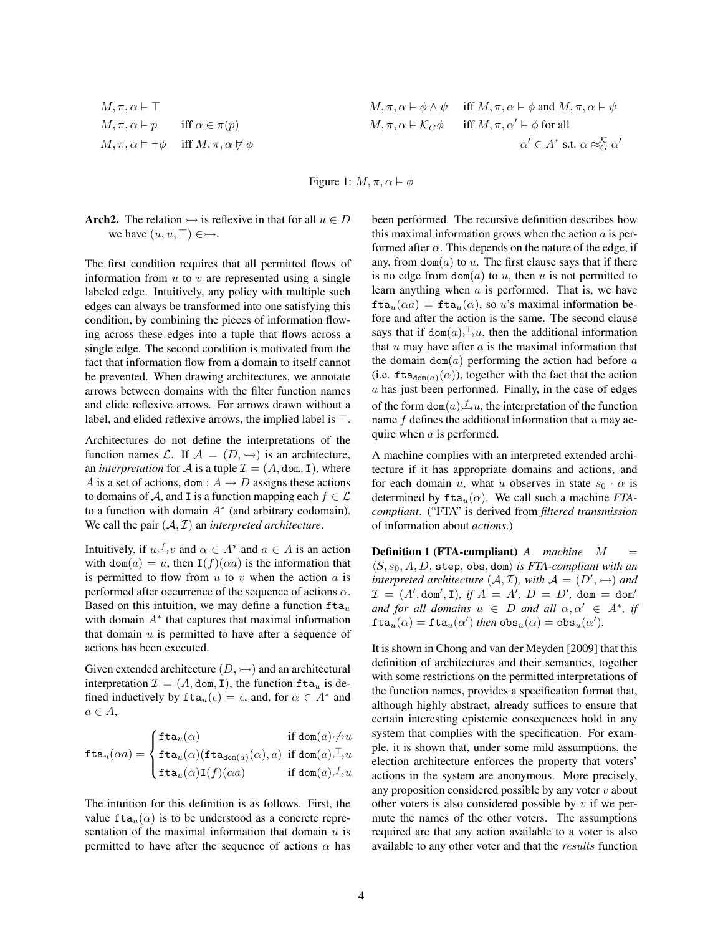$$
M, \pi, \alpha \models \top
$$
  
\n
$$
M, \pi, \alpha \models p \quad \text{iff } \alpha \in \pi(p)
$$
  
\n
$$
M, \pi, \alpha \models \neg \phi \quad \text{iff } M, \pi, \alpha \not\vdash \phi
$$

$$
M, \pi, \alpha \vDash \top
$$
\n
$$
M, \pi, \alpha \vDash \phi \land \psi \quad \text{iff } M, \pi, \alpha \vDash \phi \text{ and } M, \pi, \alpha \vDash \psi
$$
\n
$$
M, \pi, \alpha \vDash p \quad \text{iff } \alpha \in \pi(p)
$$
\n
$$
M, \pi, \alpha \vDash \mathcal{K}_G \phi \quad \text{iff } M, \pi, \alpha' \vDash \phi \text{ for all}
$$
\n
$$
\alpha' \in A^* \text{ s.t. } \alpha \approx_G^{\mathcal{K}} \alpha'
$$

Figure 1:  $M, \pi, \alpha \models \phi$ 

Arch2. The relation  $\rightarrow$  is reflexive in that for all  $u \in D$ we have  $(u, u, \top) \in \rightarrowtail$ .

The first condition requires that all permitted flows of information from  $u$  to  $v$  are represented using a single labeled edge. Intuitively, any policy with multiple such edges can always be transformed into one satisfying this condition, by combining the pieces of information flowing across these edges into a tuple that flows across a single edge. The second condition is motivated from the fact that information flow from a domain to itself cannot be prevented. When drawing architectures, we annotate arrows between domains with the filter function names and elide reflexive arrows. For arrows drawn without a label, and elided reflexive arrows, the implied label is  $\top$ .

Architectures do not define the interpretations of the function names L. If  $A = (D, \rightarrow)$  is an architecture, an *interpretation* for A is a tuple  $\mathcal{I} = (A, \text{dom}, I)$ , where A is a set of actions, dom :  $A \rightarrow D$  assigns these actions to domains of A, and I is a function mapping each  $f \in \mathcal{L}$ to a function with domain  $A^*$  (and arbitrary codomain). We call the pair  $(A, \mathcal{I})$  an *interpreted architecture*.

Intuitively, if  $u \not\perp v$  and  $\alpha \in A^*$  and  $a \in A$  is an action with dom(a) = u, then  $I(f)(\alpha a)$  is the information that is permitted to flow from  $u$  to  $v$  when the action  $a$  is performed after occurrence of the sequence of actions  $\alpha$ . Based on this intuition, we may define a function  $fta_u$ with domain  $A^*$  that captures that maximal information that domain  $u$  is permitted to have after a sequence of actions has been executed.

Given extended architecture  $(D, \rightarrow)$  and an architectural interpretation  $\mathcal{I} = (A, \text{dom}, I)$ , the function  $\text{fta}_u$  is defined inductively by  $\text{fta}_u(\epsilon) = \epsilon$ , and, for  $\alpha \in A^*$  and  $a \in A$ ,

$$
\mathtt{fta}_u(\alpha a) = \begin{cases} \mathtt{fta}_u(\alpha) & \text{if $\mathtt{dom}(a) \not\!\rightarrow\! u$} \\ \mathtt{fta}_u(\alpha)(\mathtt{fta}_{\mathtt{dom}(a)}(\alpha), a) & \text{if $\mathtt{dom}(a) \xrightarrow{\top} u$} \\ \mathtt{fta}_u(\alpha)\mathtt{I}(f)(\alpha a) & \text{if $\mathtt{dom}(a) \xrightarrow{\f} u$} \end{cases}
$$

The intuition for this definition is as follows. First, the value  $fta_u(\alpha)$  is to be understood as a concrete representation of the maximal information that domain  $u$  is permitted to have after the sequence of actions  $\alpha$  has been performed. The recursive definition describes how this maximal information grows when the action  $a$  is performed after  $\alpha$ . This depends on the nature of the edge, if any, from  $dom(a)$  to u. The first clause says that if there is no edge from  $dom(a)$  to u, then u is not permitted to learn anything when  $a$  is performed. That is, we have  $\text{fta}_u(\alpha a) = \text{fta}_u(\alpha)$ , so u's maximal information before and after the action is the same. The second clause says that if  $\text{dom}(a) \rightarrow u$ , then the additional information that  $u$  may have after  $a$  is the maximal information that the domain dom( $a$ ) performing the action had before  $a$ (i.e.  $\text{fta}_{\text{dom}(a)}(\alpha)$ ), together with the fact that the action a has just been performed. Finally, in the case of edges of the form  $\text{dom}(a) \neq u$ , the interpretation of the function name  $f$  defines the additional information that  $u$  may acquire when a is performed.

A machine complies with an interpreted extended architecture if it has appropriate domains and actions, and for each domain u, what u observes in state  $s_0 \cdot \alpha$  is determined by  $fta<sub>u</sub>(\alpha)$ . We call such a machine *FTAcompliant*. ("FTA" is derived from *filtered transmission* of information about *actions*.)

Definition 1 (FTA-compliant) *A machine* M =  $\langle S, s_0, A, D, \text{step}, \text{obs}, \text{dom} \rangle$  *is FTA-compliant with an interpreted architecture*  $(A, \mathcal{I})$ *, with*  $\mathcal{A} = (D', \rightarrow)$  *and*  $\mathcal{I} = (A', \text{dom}', \text{I}), \text{ if } A = A', \text{ } D = D', \text{ dom} = \text{dom}'$ *and for all domains*  $u \in D$  *and all*  $\alpha, \alpha' \in A^*$ , *if*  $\texttt{fta}_u(\alpha) = \texttt{fta}_u(\alpha') \text{ then } \texttt{obs}_u(\alpha) = \texttt{obs}_u(\alpha').$ 

It is shown in Chong and van der Meyden [2009] that this definition of architectures and their semantics, together with some restrictions on the permitted interpretations of the function names, provides a specification format that, although highly abstract, already suffices to ensure that certain interesting epistemic consequences hold in any system that complies with the specification. For example, it is shown that, under some mild assumptions, the election architecture enforces the property that voters' actions in the system are anonymous. More precisely, any proposition considered possible by any voter  $v$  about other voters is also considered possible by  $v$  if we permute the names of the other voters. The assumptions required are that any action available to a voter is also available to any other voter and that the results function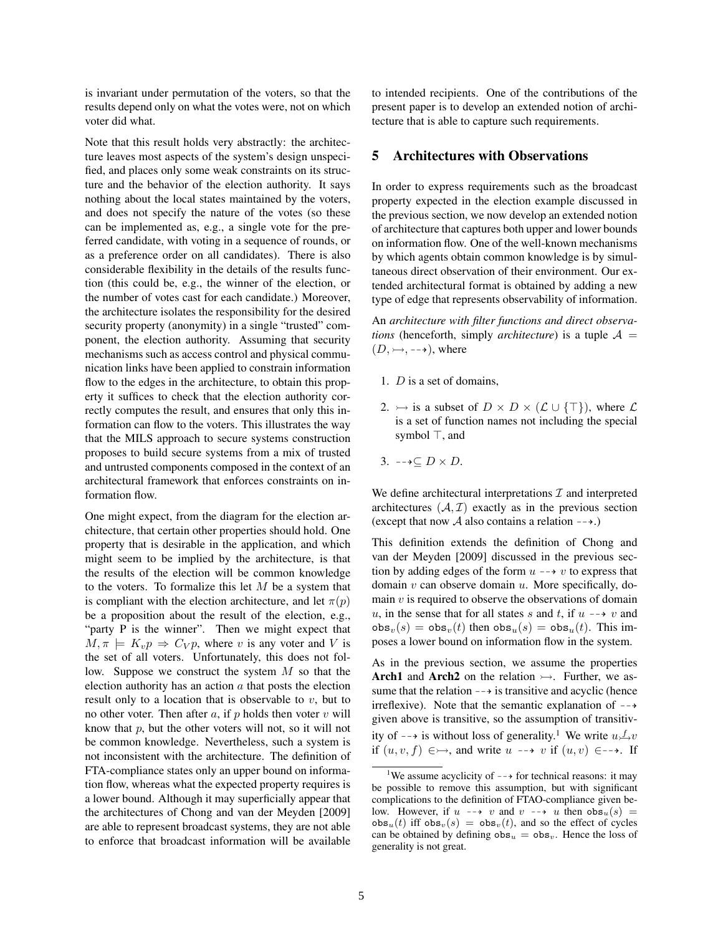is invariant under permutation of the voters, so that the results depend only on what the votes were, not on which voter did what.

Note that this result holds very abstractly: the architecture leaves most aspects of the system's design unspecified, and places only some weak constraints on its structure and the behavior of the election authority. It says nothing about the local states maintained by the voters, and does not specify the nature of the votes (so these can be implemented as, e.g., a single vote for the preferred candidate, with voting in a sequence of rounds, or as a preference order on all candidates). There is also considerable flexibility in the details of the results function (this could be, e.g., the winner of the election, or the number of votes cast for each candidate.) Moreover, the architecture isolates the responsibility for the desired security property (anonymity) in a single "trusted" component, the election authority. Assuming that security mechanisms such as access control and physical communication links have been applied to constrain information flow to the edges in the architecture, to obtain this property it suffices to check that the election authority correctly computes the result, and ensures that only this information can flow to the voters. This illustrates the way that the MILS approach to secure systems construction proposes to build secure systems from a mix of trusted and untrusted components composed in the context of an architectural framework that enforces constraints on information flow.

One might expect, from the diagram for the election architecture, that certain other properties should hold. One property that is desirable in the application, and which might seem to be implied by the architecture, is that the results of the election will be common knowledge to the voters. To formalize this let  $M$  be a system that is compliant with the election architecture, and let  $\pi(p)$ be a proposition about the result of the election, e.g., "party P is the winner". Then we might expect that  $M, \pi \models K_v p \Rightarrow C_V p$ , where v is any voter and V is the set of all voters. Unfortunately, this does not follow. Suppose we construct the system  $M$  so that the election authority has an action  $\alpha$  that posts the election result only to a location that is observable to  $v$ , but to no other voter. Then after  $a$ , if  $p$  holds then voter  $v$  will know that  $p$ , but the other voters will not, so it will not be common knowledge. Nevertheless, such a system is not inconsistent with the architecture. The definition of FTA-compliance states only an upper bound on information flow, whereas what the expected property requires is a lower bound. Although it may superficially appear that the architectures of Chong and van der Meyden [2009] are able to represent broadcast systems, they are not able to enforce that broadcast information will be available to intended recipients. One of the contributions of the present paper is to develop an extended notion of architecture that is able to capture such requirements.

#### 5 Architectures with Observations

In order to express requirements such as the broadcast property expected in the election example discussed in the previous section, we now develop an extended notion of architecture that captures both upper and lower bounds on information flow. One of the well-known mechanisms by which agents obtain common knowledge is by simultaneous direct observation of their environment. Our extended architectural format is obtained by adding a new type of edge that represents observability of information.

An *architecture with filter functions and direct observations* (henceforth, simply *architecture*) is a tuple  $A =$  $(D, \rightarrow, \rightarrow)$ , where

- 1. D is a set of domains,
- 2.  $\rightarrow$  is a subset of  $D \times D \times (\mathcal{L} \cup {\{\top\}})$ , where  $\mathcal{L}$ is a set of function names not including the special symbol  $\top$ , and
- 3.  $-\rightarrow \subseteq D \times D$ .

We define architectural interpretations  $\mathcal I$  and interpreted architectures  $(A, \mathcal{I})$  exactly as in the previous section (except that now A also contains a relation  $-\rightarrow$ .)

This definition extends the definition of Chong and van der Meyden [2009] discussed in the previous section by adding edges of the form  $u \rightarrow v$  to express that domain  $v$  can observe domain  $u$ . More specifically, domain  $v$  is required to observe the observations of domain u, in the sense that for all states s and t, if  $u \rightarrow v$  and  $obs_v(s) = obs_v(t)$  then  $obs_u(s) = obs_u(t)$ . This imposes a lower bound on information flow in the system.

As in the previous section, we assume the properties Arch1 and Arch2 on the relation  $\rightarrow$ . Further, we assume that the relation  $-\rightarrow$  is transitive and acyclic (hence irreflexive). Note that the semantic explanation of  $-\rightarrow$ given above is transitive, so the assumption of transitivity of  $-\rightarrow$  is without loss of generality.<sup>1</sup> We write  $u \rightarrow v$ if  $(u, v, f) \in \rightarrow$ , and write  $u \dashrightarrow v$  if  $(u, v) \in \rightarrow$ . If

<sup>&</sup>lt;sup>1</sup>We assume acyclicity of  $-\rightarrow$  for technical reasons: it may be possible to remove this assumption, but with significant complications to the definition of FTAO-compliance given below. However, if  $u \rightarrow v$  and  $v \rightarrow u$  then  $\cos_u(s)$  =  $obs<sub>u</sub>(t)$  iff  $obs<sub>v</sub>(s) = obs<sub>v</sub>(t)$ , and so the effect of cycles can be obtained by defining  $obs_u = obs_v$ . Hence the loss of generality is not great.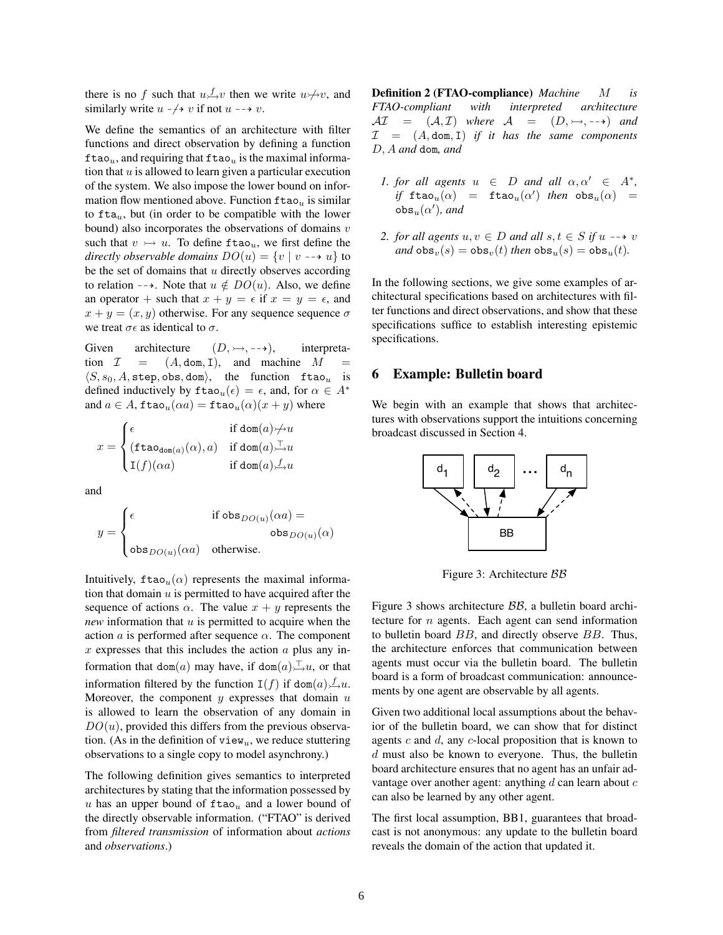there is no f such that  $u \to v$  then we write  $u \not\to v$ , and similarly write  $u \rightarrow v$  if not  $u \rightarrow v$ .

We define the semantics of an architecture with filter functions and direct observation by defining a function ftao<sub>u</sub>, and requiring that ftao<sub>u</sub> is the maximal information that  $u$  is allowed to learn given a particular execution of the system. We also impose the lower bound on information flow mentioned above. Function  $\text{ftao}_u$  is similar to  $fta<sub>u</sub>$ , but (in order to be compatible with the lower bound) also incorporates the observations of domains  $v$ such that  $v \rightarrow u$ . To define ftao<sub>u</sub>, we first define the *directly observable domains*  $DO(u) = \{v \mid v \rightarrow u\}$  to be the set of domains that  $u$  directly observes according to relation  $-\rightarrow$ . Note that  $u \notin DO(u)$ . Also, we define an operator + such that  $x + y = \epsilon$  if  $x = y = \epsilon$ , and  $x + y = (x, y)$  otherwise. For any sequence sequence  $\sigma$ we treat  $\sigma \epsilon$  as identical to  $\sigma$ .

Given architecture  $(D, \rightarrow, \rightarrow)$ , interpretation  $\mathcal{I} = (A, \text{dom}, I)$ , and machine M  $\langle S, s_0, A, \text{step}, \text{obs}, \text{dom} \rangle$ , the function ftao<sub>u</sub> is defined inductively by  $\text{ftao}_u(\epsilon) = \epsilon$ , and, for  $\alpha \in A^*$ and  $a \in A$ ,  $\text{ftao}_u(\alpha a) = \text{ftao}_u(\alpha)(x+y)$  where

$$
x = \begin{cases} \epsilon & \text{if $\text{dom}(a) \not\!\rightarrow\! u$} \\ (\text{ftao}_{\text{dom}(a)}(\alpha),a) & \text{if $\text{dom}(a) \relax\ldots\ldots u$} \\ \text{I}(f)(\alpha a) & \text{if $\text{dom}(a) \not\!\rightarrow\! u$} \end{cases}
$$

and

$$
y = \begin{cases} \epsilon & \text{if } \mathrm{obs}_{DO(u)}(\alpha a) = \\ & \mathrm{obs}_{DO(u)}(\alpha) \\ \mathrm{obs}_{DO(u)}(\alpha a) & \text{otherwise.} \end{cases}
$$

Intuitively,  $\text{ftao}_u(\alpha)$  represents the maximal information that domain  $u$  is permitted to have acquired after the sequence of actions  $\alpha$ . The value  $x + y$  represents the *new* information that u is permitted to acquire when the action  $\alpha$  is performed after sequence  $\alpha$ . The component  $x$  expresses that this includes the action  $a$  plus any information that dom(a) may have, if dom(a),  $\Box u$ , or that information filtered by the function  $I(f)$  if dom $(a) \nightharpoonup u$ . Moreover, the component  $y$  expresses that domain  $u$ is allowed to learn the observation of any domain in  $DO(u)$ , provided this differs from the previous observation. (As in the definition of  $view_u$ , we reduce stuttering observations to a single copy to model asynchrony.)

The following definition gives semantics to interpreted architectures by stating that the information possessed by u has an upper bound of  $\text{ftao}_u$  and a lower bound of the directly observable information. ("FTAO" is derived from *filtered transmission* of information about *actions* and *observations*.)

**Definition 2 (FTAO-compliance)** *Machine M is FTAO-compliant with interpreted architecture*  $\mathcal{AI} = (\mathcal{A}, \mathcal{I})$  where  $\mathcal{A} = (D, \rightarrow, \rightarrow)$  and  $I = (A, dom, I)$  *if it has the same components* D, A *and* dom*, and*

- *1. for all agents*  $u \in D$  *and all*  $\alpha, \alpha' \in A^*$ ,  $if$  ftao $_u(\alpha)$  = ftao $_u(\alpha')$  *then* obs $_u(\alpha)$  =  $\mathsf{obs}_u(\alpha')$ , and
- 2. for all agents  $u, v \in D$  and all  $s, t \in S$  if  $u \rightarrow v$ *and*  $obs_v(s) = obs_v(t)$  *then*  $obs_u(s) = obs_u(t)$ *.*

In the following sections, we give some examples of architectural specifications based on architectures with filter functions and direct observations, and show that these specifications suffice to establish interesting epistemic specifications.

#### 6 Example: Bulletin board

We begin with an example that shows that architectures with observations support the intuitions concerning broadcast discussed in Section 4.



Figure 3: Architecture BB

Figure 3 shows architecture BB, a bulletin board architecture for  $n$  agents. Each agent can send information to bulletin board BB, and directly observe BB. Thus, the architecture enforces that communication between agents must occur via the bulletin board. The bulletin board is a form of broadcast communication: announcements by one agent are observable by all agents.

Given two additional local assumptions about the behavior of the bulletin board, we can show that for distinct agents  $c$  and  $d$ , any  $c$ -local proposition that is known to  $d$  must also be known to everyone. Thus, the bulletin board architecture ensures that no agent has an unfair advantage over another agent: anything  $d$  can learn about  $c$ can also be learned by any other agent.

The first local assumption, BB1, guarantees that broadcast is not anonymous: any update to the bulletin board reveals the domain of the action that updated it.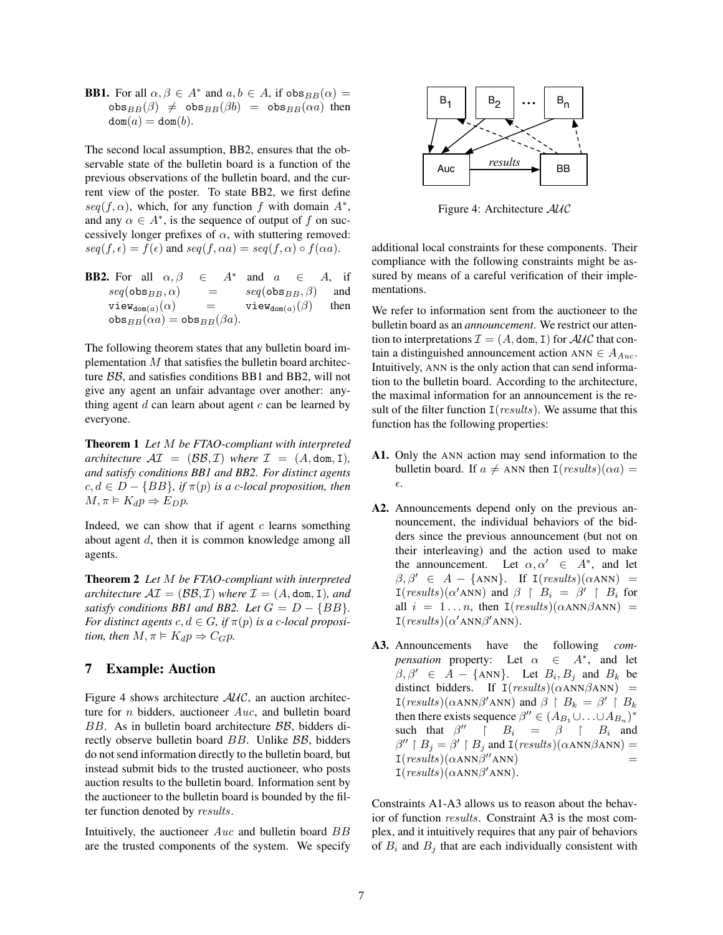**BB1.** For all  $\alpha, \beta \in A^*$  and  $a, b \in A$ , if  $\alpha$ bs $_{BB}(\alpha) =$  $obs_{BB}(\beta) \neq obs_{BB}(\beta b) = obs_{BB}(\alpha a)$  then  $dom(a) = dom(b).$ 

The second local assumption, BB2, ensures that the observable state of the bulletin board is a function of the previous observations of the bulletin board, and the current view of the poster. To state BB2, we first define  $seq(f, \alpha)$ , which, for any function f with domain  $A^*$ , and any  $\alpha \in A^*$ , is the sequence of output of f on successively longer prefixes of  $\alpha$ , with stuttering removed:  $seg(f, \epsilon) = f(\epsilon)$  and  $seq(f, \alpha a) = seq(f, \alpha) \circ f(\alpha a)$ .

**BB2.** For all  $\alpha, \beta \in A^*$ and  $a \in A$ , if  $seq(\mathsf{obs}_{BB}, \alpha)$  =  $seq(\mathsf{obs}_{BB}, \beta)$  and  $\mathsf{view}_{\mathsf{dom}(a)}(\alpha) = \mathsf{view}_{\mathsf{dom}(a)}(\beta)$  then  $obs_{BB}(\alpha a) = obs_{BB}(\beta a)$ .

The following theorem states that any bulletin board implementation  $M$  that satisfies the bulletin board architecture BB, and satisfies conditions BB1 and BB2, will not give any agent an unfair advantage over another: anything agent  $d$  can learn about agent  $c$  can be learned by everyone.

Theorem 1 *Let* M *be FTAO-compliant with interpreted architecture*  $\mathcal{AI} = (\mathcal{BB}, \mathcal{I})$  *where*  $\mathcal{I} = (A, \text{dom}, I)$ *, and satisfy conditions BB1 and BB2. For distinct agents*  $c, d \in D - \{BB\},$  if  $\pi(p)$  is a c-local proposition, then  $M, \pi \models K_d p \Rightarrow E_D p.$ 

Indeed, we can show that if agent  $c$  learns something about agent d, then it is common knowledge among all agents.

Theorem 2 *Let* M *be FTAO-compliant with interpreted architecture*  $\mathcal{AI} = (\mathcal{BB}, \mathcal{I})$  *where*  $\mathcal{I} = (A, \text{dom}, I)$ *, and satisfy conditions BB1 and BB2. Let*  $G = D - {BB}$ *. For distinct agents*  $c, d \in G$ , if  $\pi(p)$  *is a c-local proposition, then*  $M, \pi \models K_d p \Rightarrow C_G p$ .

## 7 Example: Auction

Figure 4 shows architecture  $AUC$ , an auction architecture for  $n$  bidders, auctioneer  $Aux$ , and bulletin board BB. As in bulletin board architecture BB, bidders directly observe bulletin board BB. Unlike BB, bidders do not send information directly to the bulletin board, but instead submit bids to the trusted auctioneer, who posts auction results to the bulletin board. Information sent by the auctioneer to the bulletin board is bounded by the filter function denoted by results.

Intuitively, the auctioneer  $Auc$  and bulletin board  $BB$ are the trusted components of the system. We specify



Figure 4: Architecture AUC

additional local constraints for these components. Their compliance with the following constraints might be assured by means of a careful verification of their implementations.

We refer to information sent from the auctioneer to the bulletin board as an *announcement*. We restrict our attention to interpretations  $\mathcal{I} = (A, \text{dom}, I)$  for  $\mathcal{AUC}$  that contain a distinguished announcement action ANN  $\in A_{Au}$ . Intuitively, ANN is the only action that can send information to the bulletin board. According to the architecture, the maximal information for an announcement is the result of the filter function  $I(results)$ . We assume that this function has the following properties:

- A1. Only the ANN action may send information to the bulletin board. If  $a \neq$  ANN then  $I(results)(\alpha a) =$  $\epsilon.$
- A2. Announcements depend only on the previous announcement, the individual behaviors of the bidders since the previous announcement (but not on their interleaving) and the action used to make the announcement. Let  $\alpha, \alpha' \in A^*$ , and let  $\beta, \beta' \in A - \{\text{ANN}\}.$  If  $I(results)(\alpha ANN) =$  $I(results)(\alpha'ANN)$  and  $\beta \restriction B_i = \beta' \restriction B_i$  for all  $i = 1 ... n$ , then  $I(results)(\alpha ANN\beta ANN)$  =  $I(results)(\alpha'ANN\beta'ANN).$
- A3. Announcements have the following *compensation* property: Let  $\alpha \in A^*$ , and let  $\beta, \beta' \in A - \{\text{ANN}\}.$  Let  $B_i, B_j$  and  $B_k$  be distinct bidders. If  $I(results)(\alpha ANN\beta ANN)$  =  $I(results)(\alpha ANN\beta'ANN)$  and  $\beta \restriction B_k = \beta' \restriction B_k$ then there exists sequence  $\beta'' \in (A_{B_1} \cup ... \cup A_{B_n})^*$ such that  $\beta''$  |  $B_i$  =  $\beta$  |  $B_i$  and  $\beta'' \restriction B_j = \beta' \restriction B_j$  and  $\text{I}(results)(\alpha \text{ANN}\beta \text{ANN}) =$  $I(results)(\alpha ANN\beta''ANN)$  =  $I(results)(\alpha ANN\beta'ANN).$

Constraints A1-A3 allows us to reason about the behavior of function results. Constraint A3 is the most complex, and it intuitively requires that any pair of behaviors of  $B_i$  and  $B_j$  that are each individually consistent with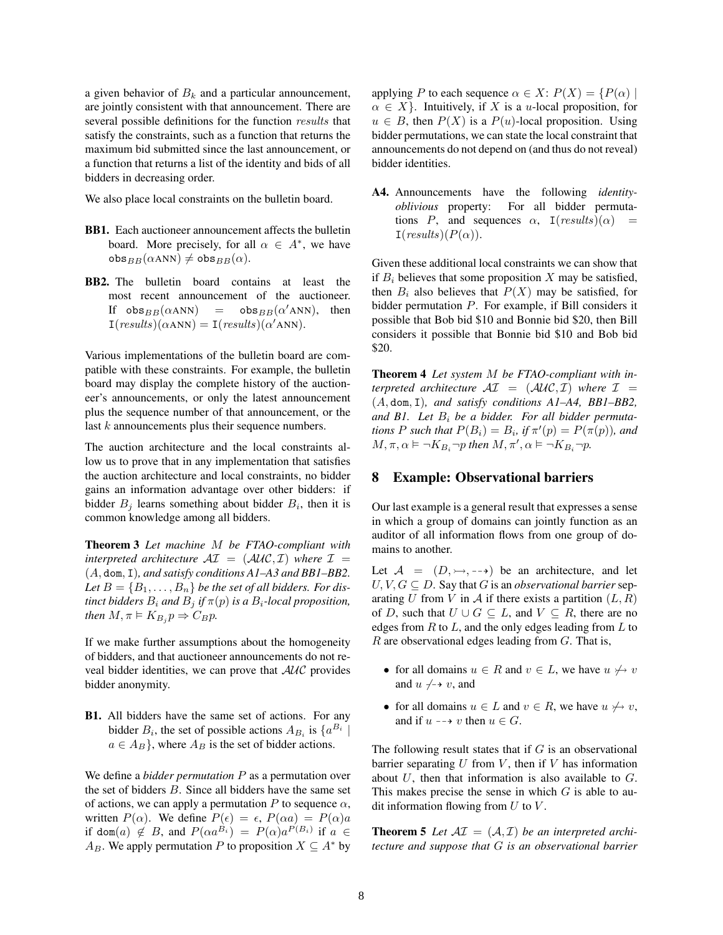a given behavior of  $B_k$  and a particular announcement, are jointly consistent with that announcement. There are several possible definitions for the function results that satisfy the constraints, such as a function that returns the maximum bid submitted since the last announcement, or a function that returns a list of the identity and bids of all bidders in decreasing order.

We also place local constraints on the bulletin board.

- BB1. Each auctioneer announcement affects the bulletin board. More precisely, for all  $\alpha \in A^*$ , we have  $obs_{BB}(\alpha ANN) \neq obs_{BB}(\alpha)$ .
- BB2. The bulletin board contains at least the most recent announcement of the auctioneer. If  $obs_{BB}(\alpha ANN)$  =  $obs_{BB}(\alpha'ANN)$ , then  $I(results)(\alpha ANN) = I(results)(\alpha'ANN).$

Various implementations of the bulletin board are compatible with these constraints. For example, the bulletin board may display the complete history of the auctioneer's announcements, or only the latest announcement plus the sequence number of that announcement, or the last k announcements plus their sequence numbers.

The auction architecture and the local constraints allow us to prove that in any implementation that satisfies the auction architecture and local constraints, no bidder gains an information advantage over other bidders: if bidder  $B_j$  learns something about bidder  $B_i$ , then it is common knowledge among all bidders.

Theorem 3 *Let machine* M *be FTAO-compliant with interpreted architecture*  $\mathcal{A}I = (\mathcal{A}U\mathcal{C}, \mathcal{I})$  *where*  $\mathcal{I} =$ (A, dom, I)*, and satisfy conditions A1–A3 and BB1–BB2.* Let  $B = \{B_1, \ldots, B_n\}$  *be the set of all bidders. For distinct bidders*  $B_i$  *and*  $B_j$  *if*  $\pi(p)$  *is a*  $B_i$ *-local proposition, then*  $M, \pi \models K_{B_i} p \Rightarrow C_B p$ .

If we make further assumptions about the homogeneity of bidders, and that auctioneer announcements do not reveal bidder identities, we can prove that AUC provides bidder anonymity.

B1. All bidders have the same set of actions. For any bidder  $B_i$ , the set of possible actions  $A_{B_i}$  is  $\{a^{B_i} \mid$  $a \in A_B$ , where  $A_B$  is the set of bidder actions.

We define a *bidder permutation* P as a permutation over the set of bidders  $B$ . Since all bidders have the same set of actions, we can apply a permutation P to sequence  $\alpha$ , written  $P(\alpha)$ . We define  $P(\epsilon) = \epsilon$ ,  $P(\alpha a) = P(\alpha)a$ if dom $(a) \notin B$ , and  $P(\alpha a^{B_i}) = P(\alpha)a^{P(B_i)}$  if  $a \in$  $A_B$ . We apply permutation P to proposition  $X \subseteq A^*$  by applying P to each sequence  $\alpha \in X$ :  $P(X) = \{P(\alpha) \mid$  $\alpha \in X$ . Intuitively, if X is a *u*-local proposition, for  $u \in B$ , then  $P(X)$  is a  $P(u)$ -local proposition. Using bidder permutations, we can state the local constraint that announcements do not depend on (and thus do not reveal) bidder identities.

A4. Announcements have the following *identityoblivious* property: For all bidder permutations P, and sequences  $\alpha$ , I(results)( $\alpha$ ) =  $\mathcal{I}(results)(P(\alpha)).$ 

Given these additional local constraints we can show that if  $B_i$  believes that some proposition X may be satisfied, then  $B_i$  also believes that  $P(X)$  may be satisfied, for bidder permutation P. For example, if Bill considers it possible that Bob bid \$10 and Bonnie bid \$20, then Bill considers it possible that Bonnie bid \$10 and Bob bid \$20.

Theorem 4 *Let system* M *be FTAO-compliant with interpreted architecture*  $\mathcal{A}I = (\mathcal{A}U\mathcal{C}, \mathcal{I})$  *where*  $I =$ (A, dom, I)*, and satisfy conditions A1–A4, BB1–BB2, and B1. Let* B<sup>i</sup> *be a bidder. For all bidder permutations P such that*  $P(B_i) = B_i$ *, if*  $\pi'(p) = P(\pi(p))$ *, and*  $M, \pi, \alpha \models \neg K_{B_i} \neg p$  then  $M, \pi', \alpha \models \neg K_{B_i} \neg p$ .

#### 8 Example: Observational barriers

Our last example is a general result that expresses a sense in which a group of domains can jointly function as an auditor of all information flows from one group of domains to another.

Let  $A = (D, \rightarrow, \rightarrow)$  be an architecture, and let  $U, V, G \subseteq D$ . Say that G is an *observational barrier* separating U from V in A if there exists a partition  $(L, R)$ of D, such that  $U \cup G \subseteq L$ , and  $V \subseteq R$ , there are no edges from  $R$  to  $L$ , and the only edges leading from  $L$  to  $R$  are observational edges leading from  $G$ . That is,

- for all domains  $u \in R$  and  $v \in L$ , we have  $u \nleftrightarrow v$ and  $u \nightharpoondown v$ , and
- for all domains  $u \in L$  and  $v \in R$ , we have  $u \nleftrightarrow v$ , and if  $u \dashrightarrow v$  then  $u \in G$ .

The following result states that if  $G$  is an observational barrier separating  $U$  from  $V$ , then if  $V$  has information about  $U$ , then that information is also available to  $G$ . This makes precise the sense in which  $G$  is able to audit information flowing from  $U$  to  $V$ .

**Theorem 5** Let  $\mathcal{AI} = (\mathcal{A}, \mathcal{I})$  be an interpreted archi*tecture and suppose that* G *is an observational barrier*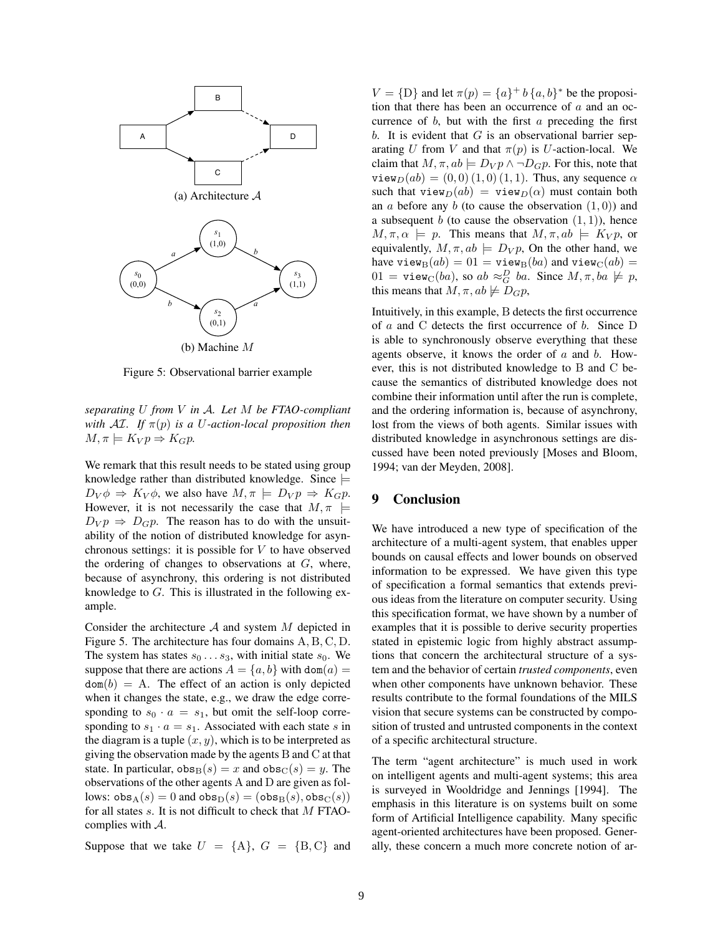

Figure 5: Observational barrier example

*separating* U *from* V *in* A*. Let* M *be FTAO-compliant with*  $\mathcal{A}I$ *. If*  $\pi(p)$  *is a U-action-local proposition then*  $M, \pi \models K_V p \Rightarrow K_G p.$ 

We remark that this result needs to be stated using group knowledge rather than distributed knowledge. Since  $\models$  $D_V \phi \Rightarrow K_V \phi$ , we also have  $M, \pi \models D_V p \Rightarrow K_G p$ . However, it is not necessarily the case that  $M, \pi$  $D_V p \Rightarrow D_G p$ . The reason has to do with the unsuitability of the notion of distributed knowledge for asynchronous settings: it is possible for  $V$  to have observed the ordering of changes to observations at  $G$ , where, because of asynchrony, this ordering is not distributed knowledge to G. This is illustrated in the following example.

Consider the architecture  $A$  and system  $M$  depicted in Figure 5. The architecture has four domains A, B, C, D. The system has states  $s_0 \dots s_3$ , with initial state  $s_0$ . We suppose that there are actions  $A = \{a, b\}$  with dom $(a)$  $dom(b) = A$ . The effect of an action is only depicted when it changes the state, e.g., we draw the edge corresponding to  $s_0 \cdot a = s_1$ , but omit the self-loop corresponding to  $s_1 \cdot a = s_1$ . Associated with each state s in the diagram is a tuple  $(x, y)$ , which is to be interpreted as giving the observation made by the agents B and C at that state. In particular,  $obs_B(s) = x$  and  $obs_C(s) = y$ . The observations of the other agents A and D are given as follows:  $obs_A(s) = 0$  and  $obs_D(s) = (obs_B(s), obs_C(s))$ for all states s. It is not difficult to check that M FTAOcomplies with A.

Suppose that we take  $U = \{A\}$ ,  $G = \{B, C\}$  and

 $V = \{D\}$  and let  $\pi(p) = \{a\}^+ b \{a, b\}^*$  be the proposition that there has been an occurrence of  $a$  and an occurrence of  $b$ , but with the first  $a$  preceding the first b. It is evident that  $G$  is an observational barrier separating U from V and that  $\pi(p)$  is U-action-local. We claim that  $M, \pi, ab \models D_V p \land \neg D_G p$ . For this, note that  $\text{view}_D(ab) = (0, 0) (1, 0) (1, 1)$ . Thus, any sequence  $\alpha$ such that view $D(ab) =$  view $D(a)$  must contain both an a before any  $b$  (to cause the observation  $(1, 0)$ ) and a subsequent b (to cause the observation  $(1, 1)$ ), hence  $M, \pi, \alpha \models p$ . This means that  $M, \pi, ab \models K_V p$ , or equivalently,  $M, \pi, ab \models D_V p$ , On the other hand, we have view $B(ab) = 01 =$  view $B(ba)$  and view $C(ab) =$  $01 = \mathtt{view}_C(ba)$ , so  $ab \approx_G^D ba$ . Since  $M, \pi, ba \not\models p$ , this means that  $M, \pi, ab \not\models D_Gp$ ,

Intuitively, in this example, B detects the first occurrence of  $a$  and C detects the first occurrence of  $b$ . Since D is able to synchronously observe everything that these agents observe, it knows the order of  $a$  and  $b$ . However, this is not distributed knowledge to B and C because the semantics of distributed knowledge does not combine their information until after the run is complete, and the ordering information is, because of asynchrony, lost from the views of both agents. Similar issues with distributed knowledge in asynchronous settings are discussed have been noted previously [Moses and Bloom, 1994; van der Meyden, 2008].

## 9 Conclusion

We have introduced a new type of specification of the architecture of a multi-agent system, that enables upper bounds on causal effects and lower bounds on observed information to be expressed. We have given this type of specification a formal semantics that extends previous ideas from the literature on computer security. Using this specification format, we have shown by a number of examples that it is possible to derive security properties stated in epistemic logic from highly abstract assumptions that concern the architectural structure of a system and the behavior of certain *trusted components*, even when other components have unknown behavior. These results contribute to the formal foundations of the MILS vision that secure systems can be constructed by composition of trusted and untrusted components in the context of a specific architectural structure.

The term "agent architecture" is much used in work on intelligent agents and multi-agent systems; this area is surveyed in Wooldridge and Jennings [1994]. The emphasis in this literature is on systems built on some form of Artificial Intelligence capability. Many specific agent-oriented architectures have been proposed. Generally, these concern a much more concrete notion of ar